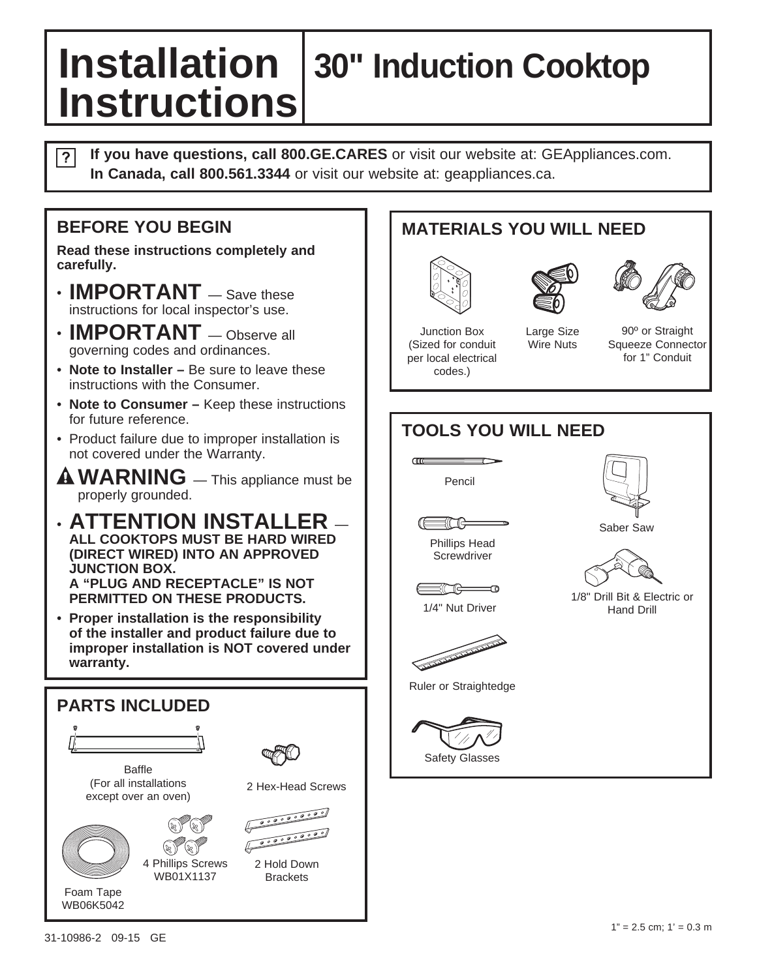# **Installation 30" Induction Cooktop Instructions**

**If you have questions, call 800.GE.CARES** or visit our website at: GEAppliances.com.  $\overline{?}$ **In Canada, call 800.561.3344** or visit our website at: geappliances.ca.

#### **BEFORE YOU BEGIN**

**Read these instructions completely and carefully.**

- **IMPORTANT** Save these instructions for local inspector's use.
- **IMPORTANT** Observe all governing codes and ordinances.
- **Note to Installer –** Be sure to leave these instructions with the Consumer.
- **Note to Consumer** Keep these instructions for future reference.
- Product failure due to improper installation is not covered under the Warranty.
- **WARNING** This appliance must be properly grounded.
- **ATTENTION INSTALLER ALL COOKTOPS MUST BE HARD WIRED (DIRECT WIRED) INTO AN APPROVED JUNCTION BOX. A "PLUG AND RECEPTACLE" IS NOT PERMITTED ON THESE PRODUCTS.**
- **Proper installation is the responsibility of the installer and product failure due to improper installation is NOT covered under warranty.**



### **MATERIALS YOU WILL NEED**







Junction Box (Sized for conduit per local electrical codes.)

Large Size Wire Nuts

90º or Straight Squeeze Connector for 1" Conduit

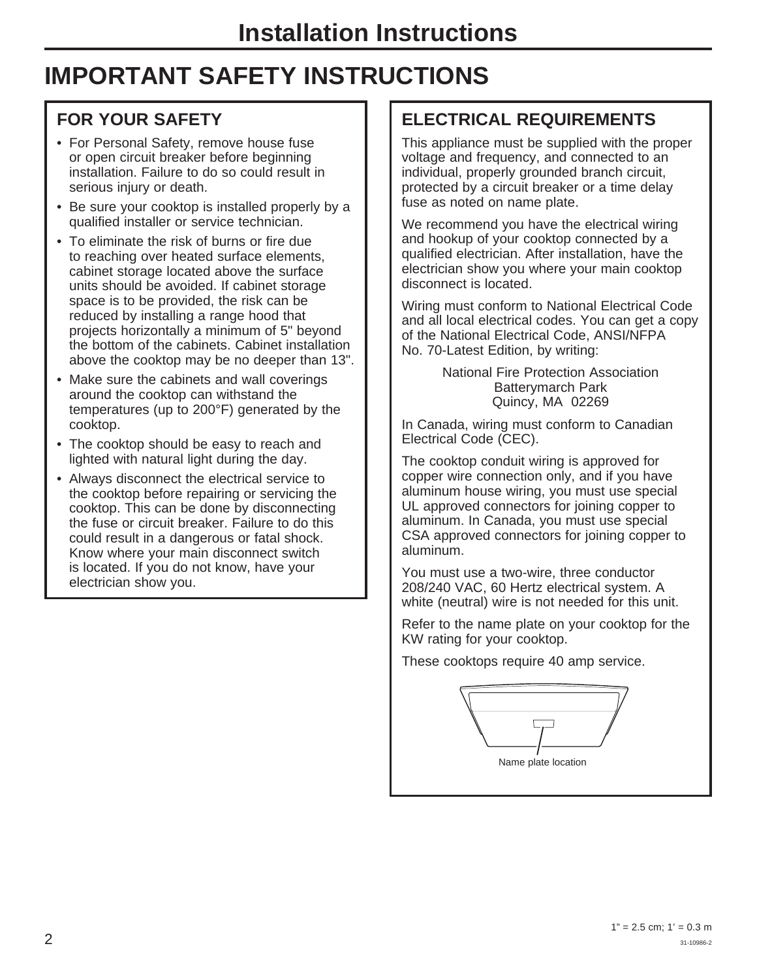### **IMPORTANT SAFETY INSTRUCTIONS**

### **FOR YOUR SAFETY**

- For Personal Safety, remove house fuse or open circuit breaker before beginning installation. Failure to do so could result in serious injury or death.
- Be sure your cooktop is installed properly by a qualified installer or service technician.
- To eliminate the risk of burns or fire due to reaching over heated surface elements, cabinet storage located above the surface units should be avoided. If cabinet storage space is to be provided, the risk can be reduced by installing a range hood that projects horizontally a minimum of 5" beyond the bottom of the cabinets. Cabinet installation above the cooktop may be no deeper than 13".
- Make sure the cabinets and wall coverings around the cooktop can withstand the temperatures (up to 200°F) generated by the cooktop.
- The cooktop should be easy to reach and lighted with natural light during the day.
- Always disconnect the electrical service to the cooktop before repairing or servicing the cooktop. This can be done by disconnecting the fuse or circuit breaker. Failure to do this could result in a dangerous or fatal shock. Know where your main disconnect switch is located. If you do not know, have your electrician show you.

### **ELECTRICAL REQUIREMENTS**

This appliance must be supplied with the proper voltage and frequency, and connected to an individual, properly grounded branch circuit, protected by a circuit breaker or a time delay fuse as noted on name plate.

We recommend you have the electrical wiring and hookup of your cooktop connected by a qualified electrician. After installation, have the electrician show you where your main cooktop disconnect is located.

Wiring must conform to National Electrical Code and all local electrical codes. You can get a copy of the National Electrical Code, ANSI/NFPA No. 70-Latest Edition, by writing:

> National Fire Protection Association Batterymarch Park Quincy, MA 02269

In Canada, wiring must conform to Canadian Electrical Code (CEC).

The cooktop conduit wiring is approved for copper wire connection only, and if you have aluminum house wiring, you must use special UL approved connectors for joining copper to aluminum. In Canada, you must use special CSA approved connectors for joining copper to aluminum.

You must use a two-wire, three conductor 208/240 VAC, 60 Hertz electrical system. A white (neutral) wire is not needed for this unit.

Refer to the name plate on your cooktop for the KW rating for your cooktop.

These cooktops require 40 amp service.

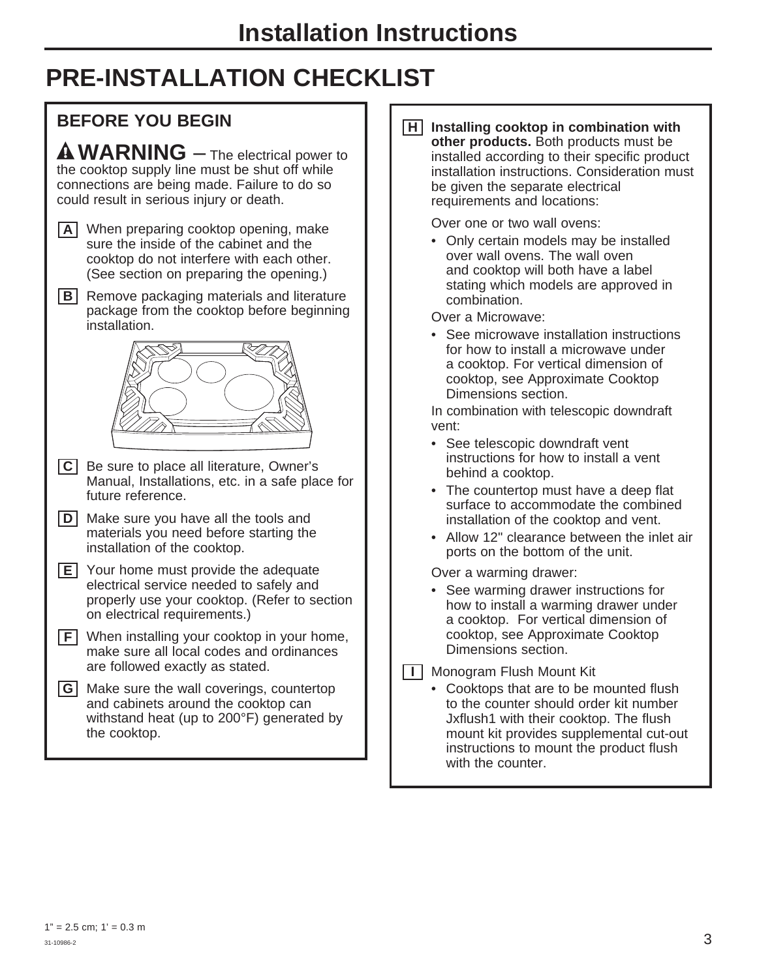# **PRE-INSTALLATION CHECKLIST**



**H Installing cooktop in combination with other products.** Both products must be installed according to their specific product installation instructions. Consideration must be given the separate electrical requirements and locations:

Over one or two wall ovens:

 • Only certain models may be installed over wall ovens. The wall oven and cooktop will both have a label stating which models are approved in combination.

Over a Microwave:

 • See microwave installation instructions for how to install a microwave under a cooktop. For vertical dimension of cooktop, see Approximate Cooktop Dimensions section.

In combination with telescopic downdraft vent:

- See telescopic downdraft vent instructions for how to install a vent behind a cooktop.
- The countertop must have a deep flat surface to accommodate the combined installation of the cooktop and vent.
- Allow 12" clearance between the inlet air ports on the bottom of the unit.

Over a warming drawer:

 • See warming drawer instructions for how to install a warming drawer under a cooktop. For vertical dimension of cooktop, see Approximate Cooktop Dimensions section.

**I** Monogram Flush Mount Kit

 • Cooktops that are to be mounted flush to the counter should order kit number Jxflush1 with their cooktop. The flush mount kit provides supplemental cut-out instructions to mount the product flush with the counter.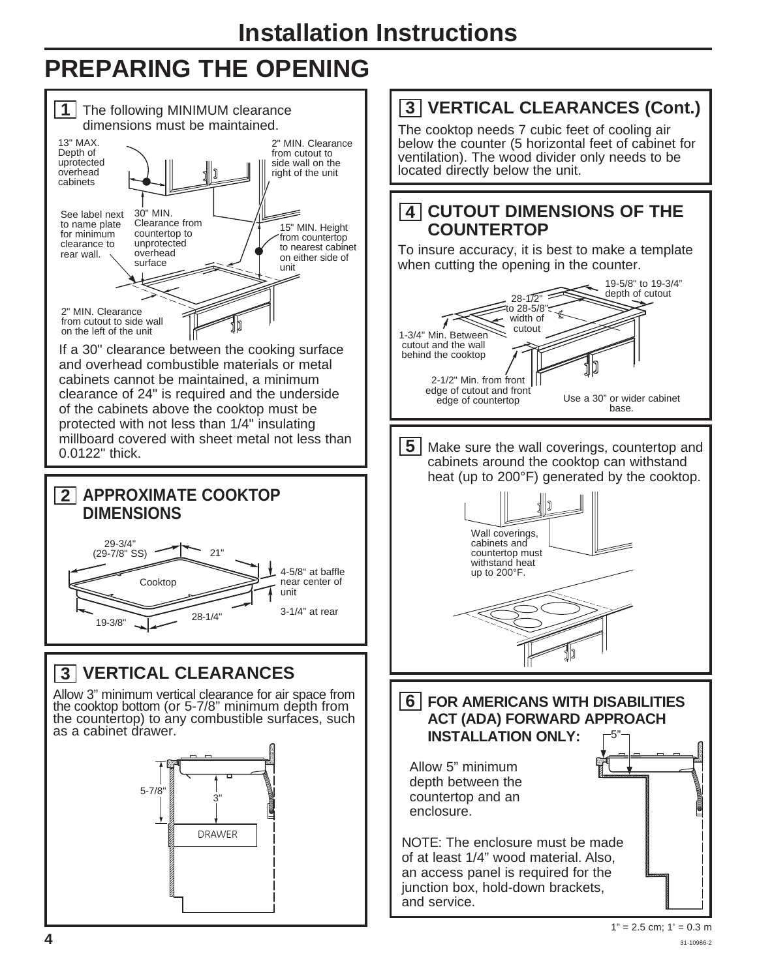# **PREPARING THE OPENING**

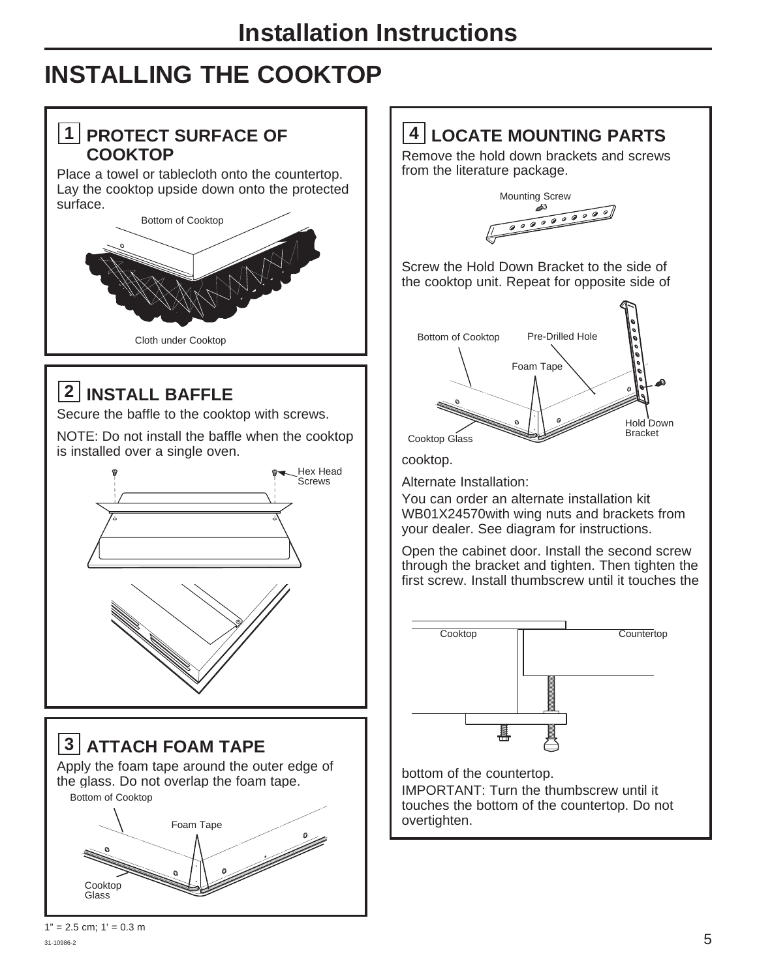### **INSTALLING THE COOKTOP**

### **1 PROTECT SURFACE OF COOKTOP**

Place a towel or tablecloth onto the countertop. Lay the cooktop upside down onto the protected surface.



### **2 INSTALL BAFFLE**

Secure the baffle to the cooktop with screws.

NOTE: Do not install the baffle when the cooktop is installed over a single oven.



**3 ATTACH FOAM TAPE** Apply the foam tape around the outer edge of the glass. Do not overlap the foam tape. Bottom of Cooktop



### **4 LOCATE MOUNTING PARTS**

Remove the hold down brackets and screws from the literature package.



Screw the Hold Down Bracket to the side of the cooktop unit. Repeat for opposite side of



cooktop.

Alternate Installation:

You can order an alternate installation kit WB01X24570with wing nuts and brackets from your dealer. See diagram for instructions.

Open the cabinet door. Install the second screw through the bracket and tighten. Then tighten the first screw. Install thumbscrew until it touches the



bottom of the countertop. IMPORTANT: Turn the thumbscrew until it touches the bottom of the countertop. Do not overtighten.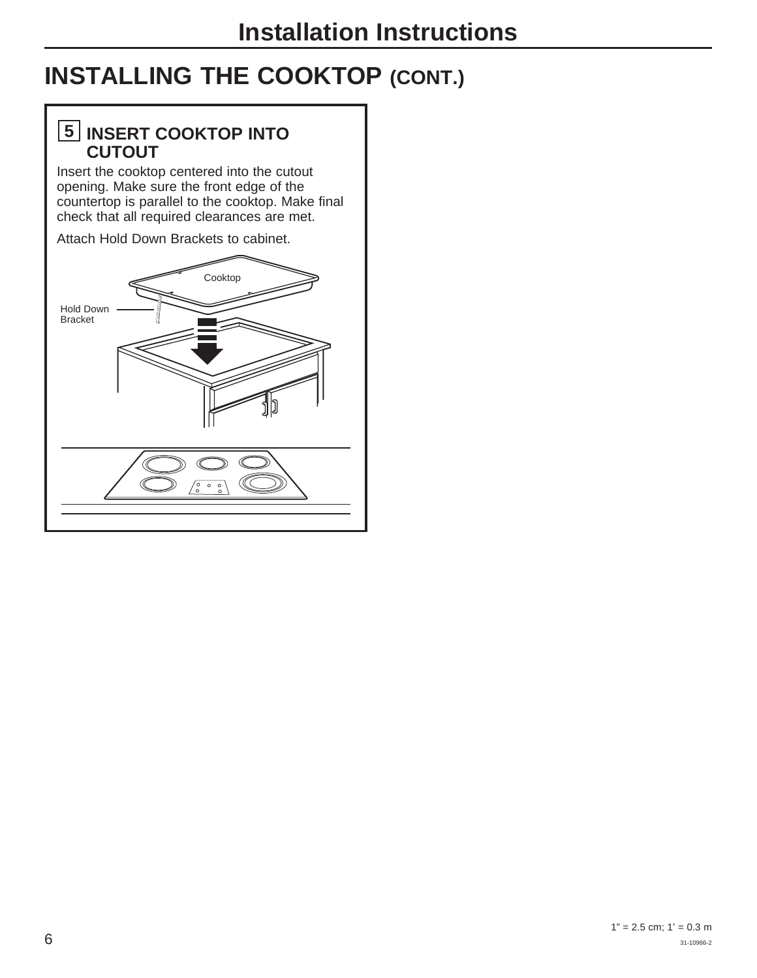# **INSTALLING THE COOKTOP (CONT.)**

### **5 INSERT COOKTOP INTO CUTOUT**

Insert the cooktop centered into the cutout opening. Make sure the front edge of the countertop is parallel to the cooktop. Make final check that all required clearances are met.

Attach Hold Down Brackets to cabinet.

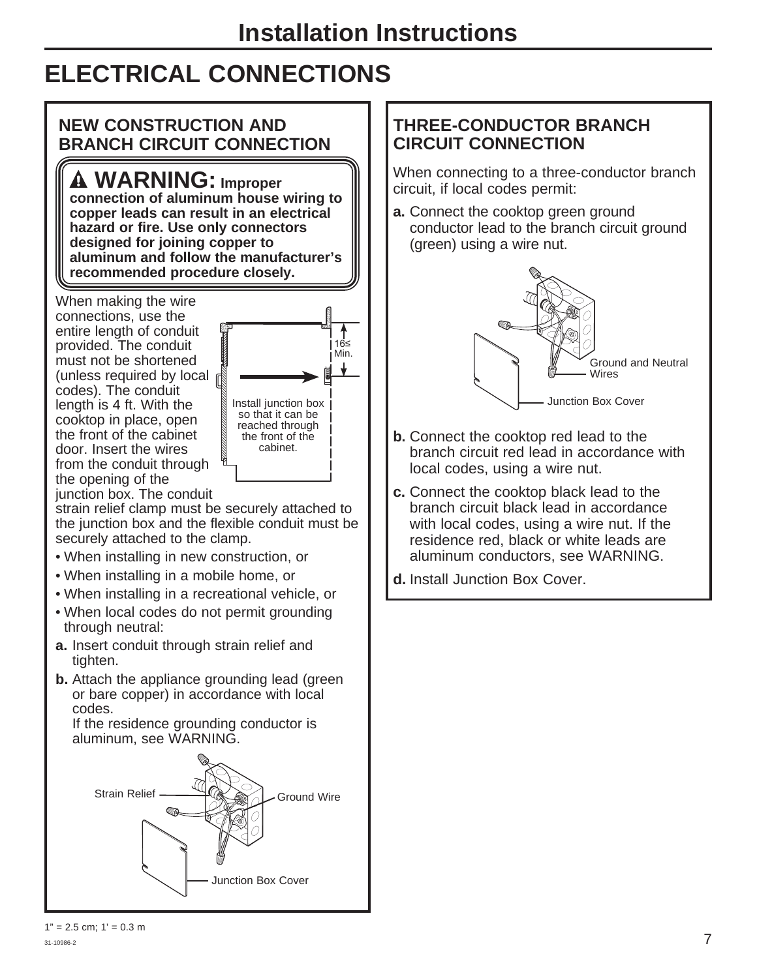### **ELECTRICAL CONNECTIONS**

#### **NEW CONSTRUCTION AND BRANCH CIRCUIT CONNECTION**

 **WARNING: Improper** 

connection of aluminum house wiring to **copper leads can result in an electrical**  hazard or fire. Use only connectors **designed for joining copper to aluminum and follow the manufacturer's**  recommended procedure closely.

When making the wire connections, use the entire length of conduit provided. The conduit must not be shortened (unless required by local  $\mathbb R$ ) codes). The conduit length is 4 ft. With the cooktop in place, open the front of the cabinet door. Insert the wires from the conduit through the opening of the junction box. The conduit



strain relief clamp must be securely attached to the junction box and the flexible conduit must be securely attached to the clamp.

- When installing in new construction, or
- When installing in a mobile home, or
- When installing in a recreational vehicle, or
- When local codes do not permit grounding through neutral:
- **a.** Insert conduit through strain relief and tighten.
- **b.** Attach the appliance grounding lead (green or bare copper) in accordance with local codes.

If the residence grounding conductor is aluminum, see WARNING.



### **THREE-CONDUCTOR BRANCH CIRCUIT CONNECTION**

When connecting to a three-conductor branch circuit, if local codes permit:

**a.** Connect the cooktop green ground conductor lead to the branch circuit ground (green) using a wire nut.



- **b.** Connect the cooktop red lead to the branch circuit red lead in accordance with local codes, using a wire nut.
- **c.** Connect the cooktop black lead to the branch circuit black lead in accordance with local codes, using a wire nut. If the residence red, black or white leads are aluminum conductors, see WARNING.
- **d.** Install Junction Box Cover.